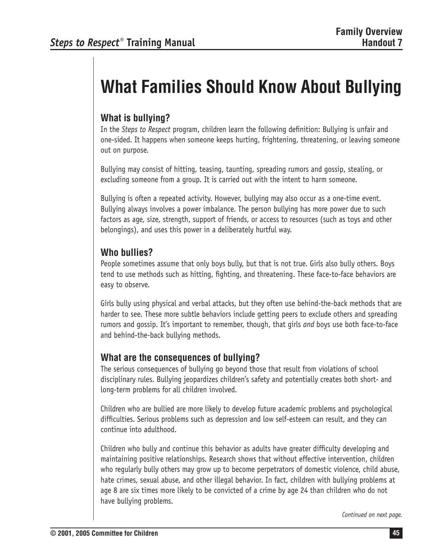# **What Families Should Know About Bullying**

## **What is bullying?**

In the *Steps to Respect* program, children learn the following definition: Bullying is unfair and one-sided. It happens when someone keeps hurting, frightening, threatening, or leaving someone out on purpose.

Bullying may consist of hitting, teasing, taunting, spreading rumors and gossip, stealing, or excluding someone from a group. It is carried out with the intent to harm someone.

Bullying is often a repeated activity. However, bullying may also occur as a one-time event. Bullying always involves a power imbalance. The person bullying has more power due to such factors as age, size, strength, support of friends, or access to resources (such as toys and other belongings), and uses this power in a deliberately hurtful way.

## **Who bullies?**

People sometimes assume that only boys bully, but that is not true. Girls also bully others. Boys tend to use methods such as hitting, fighting, and threatening. These face-to-face behaviors are easy to observe.

Girls bully using physical and verbal attacks, but they often use behind-the-back methods that are harder to see. These more subtle behaviors include getting peers to exclude others and spreading rumors and gossip. It's important to remember, though, that girls *and* boys use both face-to-face and behind-the-back bullying methods.

## **What are the consequences of bullying?**

The serious consequences of bullying go beyond those that result from violations of school disciplinary rules. Bullying jeopardizes children's safety and potentially creates both short- and long-term problems for all children involved.

Children who are bullied are more likely to develop future academic problems and psychological difficulties. Serious problems such as depression and low self-esteem can result, and they can continue into adulthood.

Children who bully and continue this behavior as adults have greater difficulty developing and maintaining positive relationships. Research shows that without effective intervention, children who regularly bully others may grow up to become perpetrators of domestic violence, child abuse, hate crimes, sexual abuse, and other illegal behavior. In fact, children with bullying problems at age 8 are six times more likely to be convicted of a crime by age 24 than children who do not have bullying problems.

*Continued on next page.*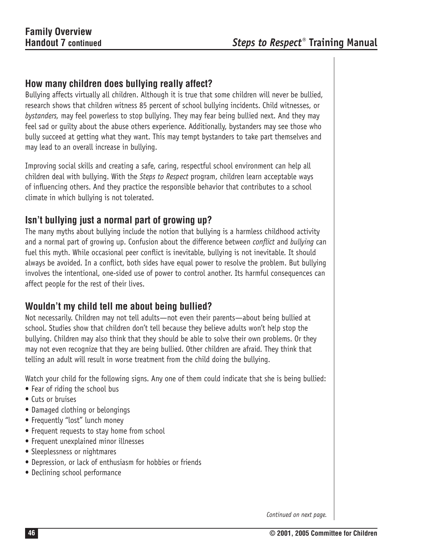#### **How many children does bullying really affect?**

Bullying affects virtually all children. Although it is true that some children will never be bullied, research shows that children witness 85 percent of school bullying incidents. Child witnesses, or *bystanders,* may feel powerless to stop bullying. They may fear being bullied next. And they may feel sad or guilty about the abuse others experience. Additionally, bystanders may see those who bully succeed at getting what they want. This may tempt bystanders to take part themselves and may lead to an overall increase in bullying.

Improving social skills and creating a safe, caring, respectful school environment can help all children deal with bullying. With the *Steps to Respect* program, children learn acceptable ways of influencing others. And they practice the responsible behavior that contributes to a school climate in which bullying is not tolerated.

#### **Isn't bullying just a normal part of growing up?**

The many myths about bullying include the notion that bullying is a harmless childhood activity and a normal part of growing up. Confusion about the difference between *conflict* and *bullying* can fuel this myth. While occasional peer conflict is inevitable, bullying is not inevitable. It should always be avoided. In a conflict, both sides have equal power to resolve the problem. But bullying involves the intentional, one-sided use of power to control another. Its harmful consequences can affect people for the rest of their lives.

## **Wouldn't my child tell me about being bullied?**

Not necessarily. Children may not tell adults—not even their parents—about being bullied at school. Studies show that children don't tell because they believe adults won't help stop the bullying. Children may also think that they should be able to solve their own problems. Or they may not even recognize that they are being bullied. Other children are afraid. They think that telling an adult will result in worse treatment from the child doing the bullying.

Watch your child for the following signs. Any one of them could indicate that she is being bullied:

- Fear of riding the school bus
- Cuts or bruises
- Damaged clothing or belongings
- Frequently "lost" lunch money
- Frequent requests to stay home from school
- • Frequent unexplained minor illnesses
- Sleeplessness or nightmares
- • Depression, or lack of enthusiasm for hobbies or friends
- Declining school performance

*Continued on next page.*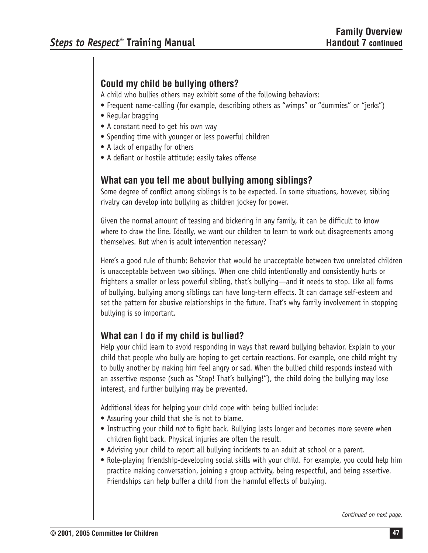# **Could my child be bullying others?**

A child who bullies others may exhibit some of the following behaviors:

- Frequent name-calling (for example, describing others as "wimps" or "dummies" or "jerks")
- Regular bragging
- A constant need to get his own way
- Spending time with younger or less powerful children
- A lack of empathy for others
- A defiant or hostile attitude; easily takes offense

## **What can you tell me about bullying among siblings?**

Some degree of conflict among siblings is to be expected. In some situations, however, sibling rivalry can develop into bullying as children jockey for power.

Given the normal amount of teasing and bickering in any family, it can be difficult to know where to draw the line. Ideally, we want our children to learn to work out disagreements among themselves. But when is adult intervention necessary?

Here's a good rule of thumb: Behavior that would be unacceptable between two unrelated children is unacceptable between two siblings. When one child intentionally and consistently hurts or frightens a smaller or less powerful sibling, that's bullying—and it needs to stop. Like all forms of bullying, bullying among siblings can have long-term effects. It can damage self-esteem and set the pattern for abusive relationships in the future. That's why family involvement in stopping bullying is so important.

# **What can I do if my child is bullied?**

Help your child learn to avoid responding in ways that reward bullying behavior. Explain to your child that people who bully are hoping to get certain reactions. For example, one child might try to bully another by making him feel angry or sad. When the bullied child responds instead with an assertive response (such as "Stop! That's bullying!"), the child doing the bullying may lose interest, and further bullying may be prevented.

Additional ideas for helping your child cope with being bullied include:

- Assuring your child that she is not to blame.
- Instructing your child *not* to fight back. Bullying lasts longer and becomes more severe when children fight back. Physical injuries are often the result.
- Advising your child to report all bullying incidents to an adult at school or a parent.
- Role-playing friendship-developing social skills with your child. For example, you could help him practice making conversation, joining a group activity, being respectful, and being assertive. Friendships can help buffer a child from the harmful effects of bullying.